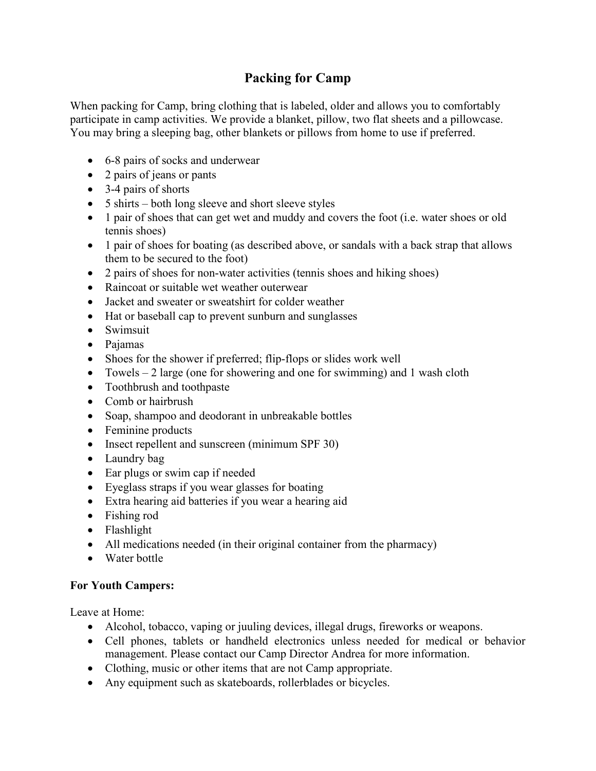## **Packing for Camp**

When packing for Camp, bring clothing that is labeled, older and allows you to comfortably participate in camp activities. We provide a blanket, pillow, two flat sheets and a pillowcase. You may bring a sleeping bag, other blankets or pillows from home to use if preferred.

- 6-8 pairs of socks and underwear
- 2 pairs of jeans or pants
- 3-4 pairs of shorts
- 5 shirts both long sleeve and short sleeve styles
- 1 pair of shoes that can get wet and muddy and covers the foot (i.e. water shoes or old tennis shoes)
- 1 pair of shoes for boating (as described above, or sandals with a back strap that allows them to be secured to the foot)
- 2 pairs of shoes for non-water activities (tennis shoes and hiking shoes)
- Raincoat or suitable wet weather outerwear
- Jacket and sweater or sweatshirt for colder weather
- Hat or baseball cap to prevent sunburn and sunglasses
- Swimsuit
- Pajamas
- Shoes for the shower if preferred; flip-flops or slides work well
- Towels  $-2$  large (one for showering and one for swimming) and 1 wash cloth
- Toothbrush and toothpaste
- Comb or hairbrush
- Soap, shampoo and deodorant in unbreakable bottles
- Feminine products
- Insect repellent and sunscreen (minimum SPF 30)
- Laundry bag
- Ear plugs or swim cap if needed
- Eyeglass straps if you wear glasses for boating
- Extra hearing aid batteries if you wear a hearing aid
- Fishing rod
- Flashlight
- All medications needed (in their original container from the pharmacy)
- Water bottle

## **For Youth Campers:**

Leave at Home:

- Alcohol, tobacco, vaping or juuling devices, illegal drugs, fireworks or weapons.
- Cell phones, tablets or handheld electronics unless needed for medical or behavior management. Please contact our Camp Director Andrea for more information.
- Clothing, music or other items that are not Camp appropriate.
- Any equipment such as skateboards, rollerblades or bicycles.